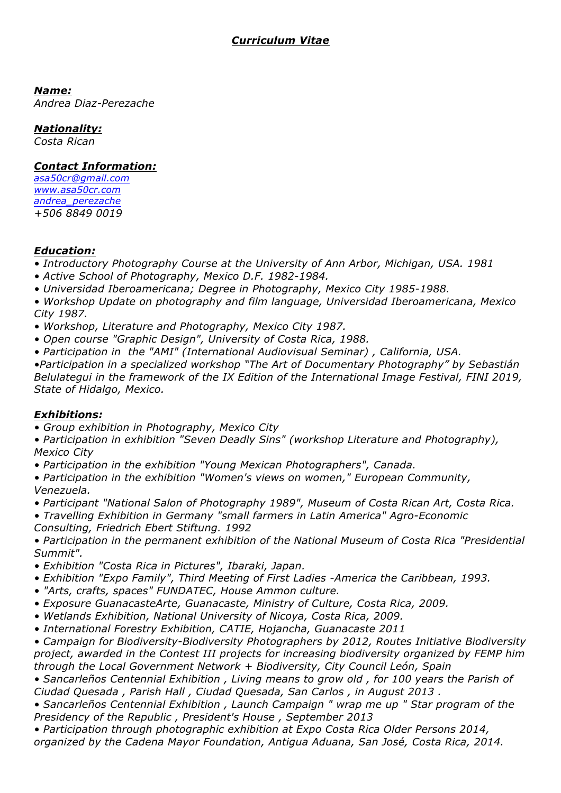*Name:*

*Andrea Diaz-Perezache*

### *Nationality:*

*Costa Rican*

### *Contact Information:*

*asa50cr@gmail.com www.asa50cr.com andrea\_perezache +506 8849 0019*

#### *Education:*

*• Introductory Photography Course at the University of Ann Arbor, Michigan, USA. 1981*

- *Active School of Photography, Mexico D.F. 1982-1984.*
- *Universidad Iberoamericana; Degree in Photography, Mexico City 1985-1988.*

*• Workshop Update on photography and film language, Universidad Iberoamericana, Mexico City 1987.*

- *Workshop, Literature and Photography, Mexico City 1987.*
- *Open course "Graphic Design", University of Costa Rica, 1988.*
- *Participation in the "AMI" (International Audiovisual Seminar) , California, USA.*

*•Participation in a specialized workshop "The Art of Documentary Photography" by Sebastián Belulategui in the framework of the IX Edition of the International Image Festival, FINI 2019, State of Hidalgo, Mexico.*

#### *Exhibitions:*

*• Group exhibition in Photography, Mexico City*

*• Participation in exhibition "Seven Deadly Sins" (workshop Literature and Photography), Mexico City*

*• Participation in the exhibition "Young Mexican Photographers", Canada.*

*• Participation in the exhibition "Women's views on women," European Community, Venezuela.*

- *Participant "National Salon of Photography 1989", Museum of Costa Rican Art, Costa Rica.*
- *Travelling Exhibition in Germany "small farmers in Latin America" Agro-Economic Consulting, Friedrich Ebert Stiftung. 1992*

*• Participation in the permanent exhibition of the National Museum of Costa Rica "Presidential Summit".*

- *Exhibition "Costa Rica in Pictures", Ibaraki, Japan.*
- *Exhibition "Expo Family", Third Meeting of First Ladies -America the Caribbean, 1993.*
- *"Arts, crafts, spaces" FUNDATEC, House Ammon culture.*
- *Exposure GuanacasteArte, Guanacaste, Ministry of Culture, Costa Rica, 2009.*
- *Wetlands Exhibition, National University of Nicoya, Costa Rica, 2009.*
- *International Forestry Exhibition, CATIE, Hojancha, Guanacaste 2011*

*• Campaign for Biodiversity-Biodiversity Photographers by 2012, Routes Initiative Biodiversity project, awarded in the Contest III projects for increasing biodiversity organized by FEMP him through the Local Government Network + Biodiversity, City Council León, Spain*

*• Sancarleños Centennial Exhibition , Living means to grow old , for 100 years the Parish of Ciudad Quesada , Parish Hall , Ciudad Quesada, San Carlos , in August 2013 .*

*• Sancarleños Centennial Exhibition , Launch Campaign " wrap me up " Star program of the Presidency of the Republic , President's House , September 2013*

*• Participation through photographic exhibition at Expo Costa Rica Older Persons 2014, organized by the Cadena Mayor Foundation, Antigua Aduana, San José, Costa Rica, 2014.*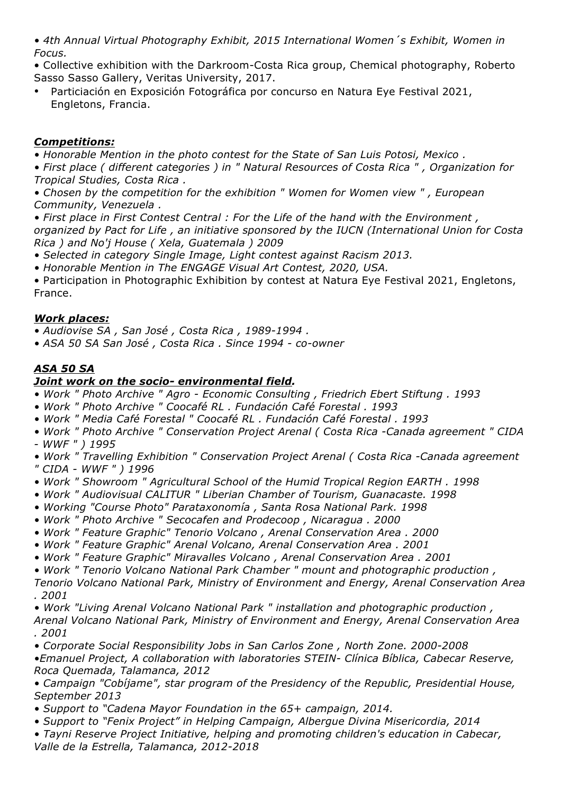*• 4th Annual Virtual Photography Exhibit, 2015 International Women´s Exhibit, Women in Focus.*

• Collective exhibition with the Darkroom-Costa Rica group, Chemical photography, Roberto Sasso Sasso Gallery, Veritas University, 2017.

• Particiación en Exposición Fotográfica por concurso en Natura Eye Festival 2021, Engletons, Francia.

# *Competitions:*

*• Honorable Mention in the photo contest for the State of San Luis Potosi, Mexico .*

*• First place ( different categories ) in " Natural Resources of Costa Rica " , Organization for Tropical Studies, Costa Rica .*

*• Chosen by the competition for the exhibition " Women for Women view " , European Community, Venezuela .*

*• First place in First Contest Central : For the Life of the hand with the Environment , organized by Pact for Life , an initiative sponsored by the IUCN (International Union for Costa Rica ) and No'j House ( Xela, Guatemala ) 2009*

*• Selected in category Single Image, Light contest against Racism 2013.*

*• Honorable Mention in The ENGAGE Visual Art Contest, 2020, USA.*

• Participation in Photographic Exhibition by contest at Natura Eye Festival 2021, Engletons, France.

# *Work places:*

*• Audiovise SA , San José , Costa Rica , 1989-1994 .*

*• ASA 50 SA San José , Costa Rica . Since 1994 - co-owner*

# *ASA 50 SA*

## *Joint work on the socio- environmental field.*

- *Work " Photo Archive " Agro - Economic Consulting , Friedrich Ebert Stiftung . 1993*
- *Work " Photo Archive " Coocafé RL . Fundación Café Forestal . 1993*
- *Work " Media Café Forestal " Coocafé RL . Fundación Café Forestal . 1993*
- *Work " Photo Archive " Conservation Project Arenal ( Costa Rica -Canada agreement " CIDA - WWF " ) 1995*
- *Work " Travelling Exhibition " Conservation Project Arenal ( Costa Rica -Canada agreement " CIDA - WWF " ) 1996*
- *Work " Showroom " Agricultural School of the Humid Tropical Region EARTH . 1998*
- *Work " Audiovisual CALITUR " Liberian Chamber of Tourism, Guanacaste. 1998*
- *Working "Course Photo" Parataxonomía , Santa Rosa National Park. 1998*
- *Work " Photo Archive " Secocafen and Prodecoop , Nicaragua . 2000*
- *Work " Feature Graphic" Tenorio Volcano , Arenal Conservation Area . 2000*
- *Work " Feature Graphic" Arenal Volcano, Arenal Conservation Area . 2001*
- *Work " Feature Graphic" Miravalles Volcano , Arenal Conservation Area . 2001*

*• Work " Tenorio Volcano National Park Chamber " mount and photographic production , Tenorio Volcano National Park, Ministry of Environment and Energy, Arenal Conservation Area . 2001*

*• Work "Living Arenal Volcano National Park " installation and photographic production , Arenal Volcano National Park, Ministry of Environment and Energy, Arenal Conservation Area . 2001*

*• Corporate Social Responsibility Jobs in San Carlos Zone , North Zone. 2000-2008 •Emanuel Project, A collaboration with laboratories STEIN- Clínica Bíblica, Cabecar Reserve, Roca Quemada, Talamanca, 2012*

*• Campaign "Cobíjame", star program of the Presidency of the Republic, Presidential House, September 2013*

- *Support to "Cadena Mayor Foundation in the 65+ campaign, 2014.*
- *Support to "Fenix Project" in Helping Campaign, Albergue Divina Misericordia, 2014*
- *Tayni Reserve Project Initiative, helping and promoting children's education in Cabecar, Valle de la Estrella, Talamanca, 2012-2018*